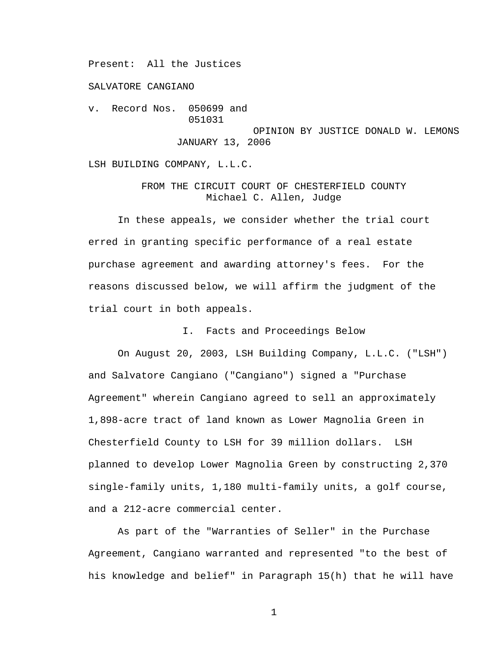Present: All the Justices

SALVATORE CANGIANO

v. Record Nos. 050699 and 051031 OPINION BY JUSTICE DONALD W. LEMONS JANUARY 13, 2006

LSH BUILDING COMPANY, L.L.C.

FROM THE CIRCUIT COURT OF CHESTERFIELD COUNTY Michael C. Allen, Judge

 In these appeals, we consider whether the trial court erred in granting specific performance of a real estate purchase agreement and awarding attorney's fees. For the reasons discussed below, we will affirm the judgment of the trial court in both appeals.

I. Facts and Proceedings Below

 On August 20, 2003, LSH Building Company, L.L.C. ("LSH") and Salvatore Cangiano ("Cangiano") signed a "Purchase Agreement" wherein Cangiano agreed to sell an approximately 1,898-acre tract of land known as Lower Magnolia Green in Chesterfield County to LSH for 39 million dollars. LSH planned to develop Lower Magnolia Green by constructing 2,370 single-family units, 1,180 multi-family units, a golf course, and a 212-acre commercial center.

 As part of the "Warranties of Seller" in the Purchase Agreement, Cangiano warranted and represented "to the best of his knowledge and belief" in Paragraph 15(h) that he will have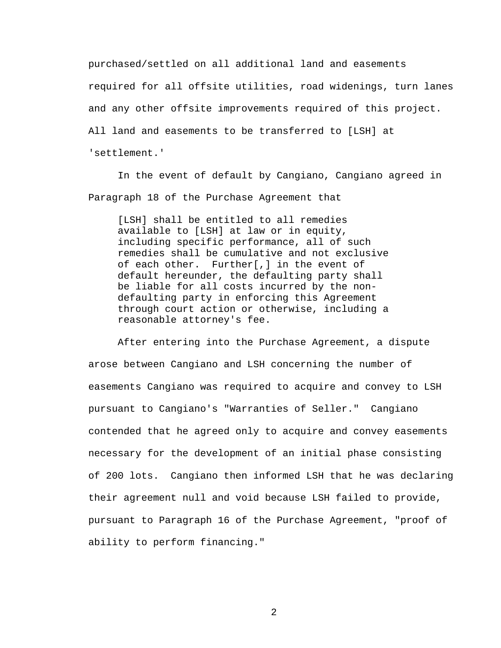purchased/settled on all additional land and easements required for all offsite utilities, road widenings, turn lanes and any other offsite improvements required of this project. All land and easements to be transferred to [LSH] at 'settlement.'

In the event of default by Cangiano, Cangiano agreed in Paragraph 18 of the Purchase Agreement that

[LSH] shall be entitled to all remedies available to [LSH] at law or in equity, including specific performance, all of such remedies shall be cumulative and not exclusive of each other. Further[,] in the event of default hereunder, the defaulting party shall be liable for all costs incurred by the nondefaulting party in enforcing this Agreement through court action or otherwise, including a reasonable attorney's fee.

 After entering into the Purchase Agreement, a dispute arose between Cangiano and LSH concerning the number of easements Cangiano was required to acquire and convey to LSH pursuant to Cangiano's "Warranties of Seller." Cangiano contended that he agreed only to acquire and convey easements necessary for the development of an initial phase consisting of 200 lots. Cangiano then informed LSH that he was declaring their agreement null and void because LSH failed to provide, pursuant to Paragraph 16 of the Purchase Agreement, "proof of ability to perform financing."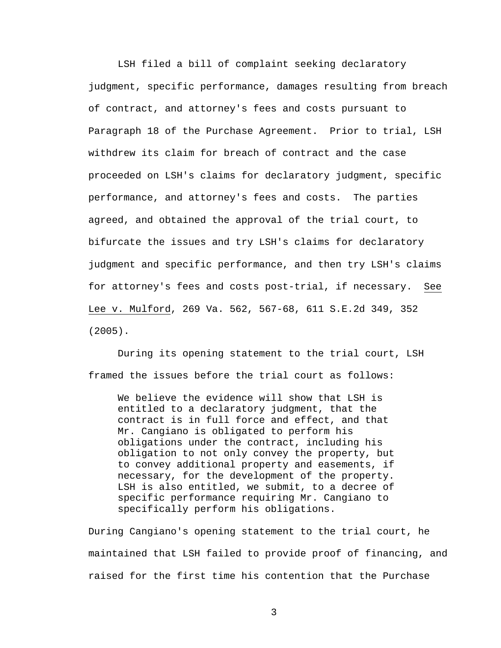LSH filed a bill of complaint seeking declaratory judgment, specific performance, damages resulting from breach of contract, and attorney's fees and costs pursuant to Paragraph 18 of the Purchase Agreement. Prior to trial, LSH withdrew its claim for breach of contract and the case proceeded on LSH's claims for declaratory judgment, specific performance, and attorney's fees and costs. The parties agreed, and obtained the approval of the trial court, to bifurcate the issues and try LSH's claims for declaratory judgment and specific performance, and then try LSH's claims for attorney's fees and costs post-trial, if necessary. See Lee v. Mulford, 269 Va. 562, 567-68, 611 S.E.2d 349, 352 (2005).

 During its opening statement to the trial court, LSH framed the issues before the trial court as follows:

We believe the evidence will show that LSH is entitled to a declaratory judgment, that the contract is in full force and effect, and that Mr. Cangiano is obligated to perform his obligations under the contract, including his obligation to not only convey the property, but to convey additional property and easements, if necessary, for the development of the property. LSH is also entitled, we submit, to a decree of specific performance requiring Mr. Cangiano to specifically perform his obligations.

During Cangiano's opening statement to the trial court, he maintained that LSH failed to provide proof of financing, and raised for the first time his contention that the Purchase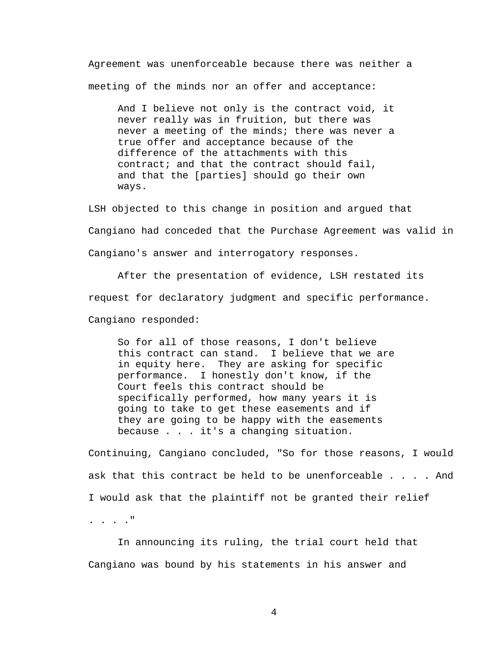Agreement was unenforceable because there was neither a meeting of the minds nor an offer and acceptance:

And I believe not only is the contract void, it never really was in fruition, but there was never a meeting of the minds; there was never a true offer and acceptance because of the difference of the attachments with this contract; and that the contract should fail, and that the [parties] should go their own ways.

LSH objected to this change in position and argued that Cangiano had conceded that the Purchase Agreement was valid in Cangiano's answer and interrogatory responses.

After the presentation of evidence, LSH restated its request for declaratory judgment and specific performance. Cangiano responded:

So for all of those reasons, I don't believe this contract can stand. I believe that we are in equity here. They are asking for specific performance. I honestly don't know, if the Court feels this contract should be specifically performed, how many years it is going to take to get these easements and if they are going to be happy with the easements because . . . it's a changing situation.

Continuing, Cangiano concluded, "So for those reasons, I would ask that this contract be held to be unenforceable . . . . And I would ask that the plaintiff not be granted their relief . . . ."

 In announcing its ruling, the trial court held that Cangiano was bound by his statements in his answer and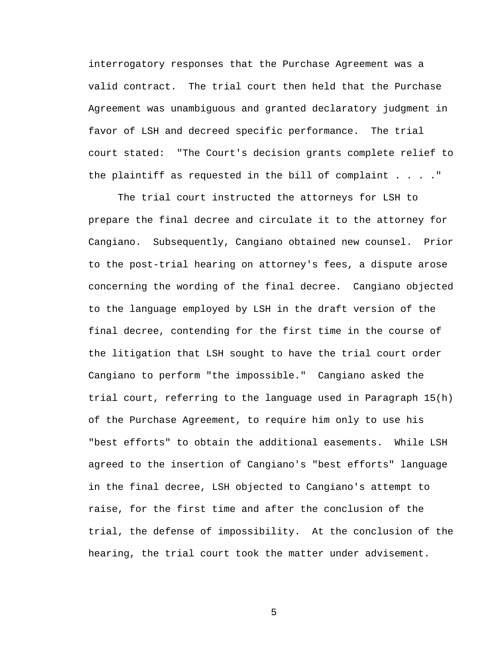interrogatory responses that the Purchase Agreement was a valid contract. The trial court then held that the Purchase Agreement was unambiguous and granted declaratory judgment in favor of LSH and decreed specific performance. The trial court stated: "The Court's decision grants complete relief to the plaintiff as requested in the bill of complaint  $\ldots$ ."

The trial court instructed the attorneys for LSH to prepare the final decree and circulate it to the attorney for Cangiano. Subsequently, Cangiano obtained new counsel. Prior to the post-trial hearing on attorney's fees, a dispute arose concerning the wording of the final decree. Cangiano objected to the language employed by LSH in the draft version of the final decree, contending for the first time in the course of the litigation that LSH sought to have the trial court order Cangiano to perform "the impossible." Cangiano asked the trial court, referring to the language used in Paragraph 15(h) of the Purchase Agreement, to require him only to use his "best efforts" to obtain the additional easements. While LSH agreed to the insertion of Cangiano's "best efforts" language in the final decree, LSH objected to Cangiano's attempt to raise, for the first time and after the conclusion of the trial, the defense of impossibility. At the conclusion of the hearing, the trial court took the matter under advisement.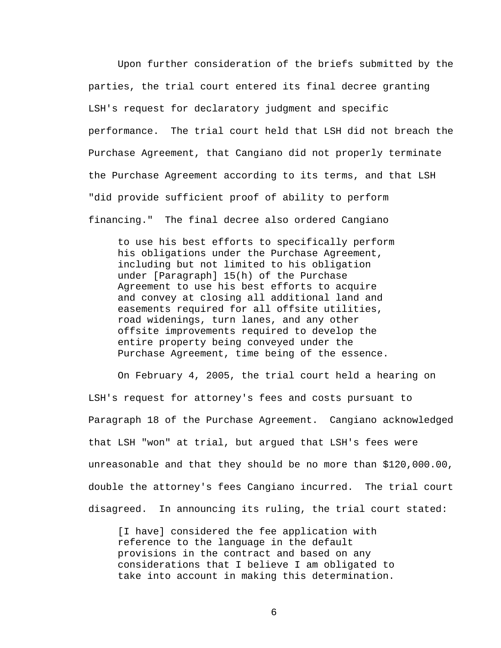Upon further consideration of the briefs submitted by the parties, the trial court entered its final decree granting LSH's request for declaratory judgment and specific performance. The trial court held that LSH did not breach the Purchase Agreement, that Cangiano did not properly terminate the Purchase Agreement according to its terms, and that LSH "did provide sufficient proof of ability to perform financing." The final decree also ordered Cangiano

to use his best efforts to specifically perform his obligations under the Purchase Agreement, including but not limited to his obligation under [Paragraph] 15(h) of the Purchase Agreement to use his best efforts to acquire and convey at closing all additional land and easements required for all offsite utilities, road widenings, turn lanes, and any other offsite improvements required to develop the entire property being conveyed under the Purchase Agreement, time being of the essence.

 On February 4, 2005, the trial court held a hearing on LSH's request for attorney's fees and costs pursuant to Paragraph 18 of the Purchase Agreement. Cangiano acknowledged that LSH "won" at trial, but argued that LSH's fees were unreasonable and that they should be no more than \$120,000.00, double the attorney's fees Cangiano incurred. The trial court disagreed. In announcing its ruling, the trial court stated:

[I have] considered the fee application with reference to the language in the default provisions in the contract and based on any considerations that I believe I am obligated to take into account in making this determination.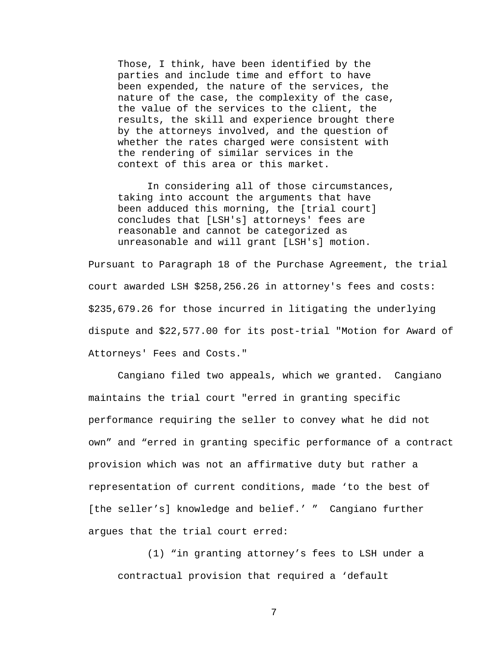Those, I think, have been identified by the parties and include time and effort to have been expended, the nature of the services, the nature of the case, the complexity of the case, the value of the services to the client, the results, the skill and experience brought there by the attorneys involved, and the question of whether the rates charged were consistent with the rendering of similar services in the context of this area or this market.

In considering all of those circumstances, taking into account the arguments that have been adduced this morning, the [trial court] concludes that [LSH's] attorneys' fees are reasonable and cannot be categorized as unreasonable and will grant [LSH's] motion.

Pursuant to Paragraph 18 of the Purchase Agreement, the trial court awarded LSH \$258,256.26 in attorney's fees and costs: \$235,679.26 for those incurred in litigating the underlying dispute and \$22,577.00 for its post-trial "Motion for Award of Attorneys' Fees and Costs."

 Cangiano filed two appeals, which we granted. Cangiano maintains the trial court "erred in granting specific performance requiring the seller to convey what he did not own" and "erred in granting specific performance of a contract provision which was not an affirmative duty but rather a representation of current conditions, made 'to the best of [the seller's] knowledge and belief.' " Cangiano further argues that the trial court erred:

(1) "in granting attorney's fees to LSH under a contractual provision that required a 'default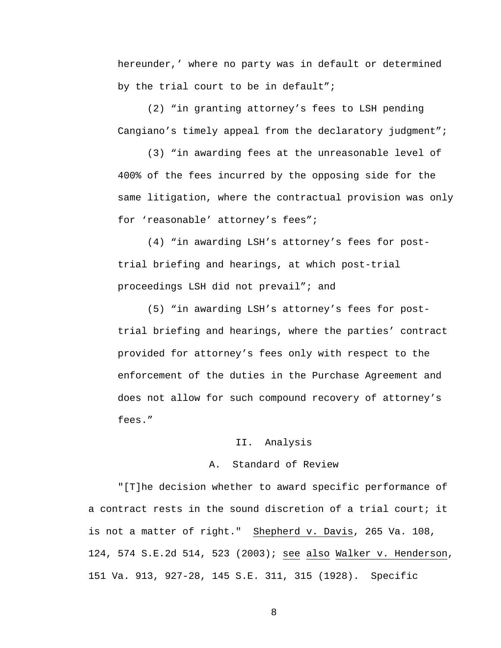hereunder,' where no party was in default or determined by the trial court to be in default";

(2) "in granting attorney's fees to LSH pending Cangiano's timely appeal from the declaratory judgment";

(3) "in awarding fees at the unreasonable level of 400% of the fees incurred by the opposing side for the same litigation, where the contractual provision was only for 'reasonable' attorney's fees";

(4) "in awarding LSH's attorney's fees for posttrial briefing and hearings, at which post-trial proceedings LSH did not prevail"; and

(5) "in awarding LSH's attorney's fees for posttrial briefing and hearings, where the parties' contract provided for attorney's fees only with respect to the enforcement of the duties in the Purchase Agreement and does not allow for such compound recovery of attorney's fees."

#### II. Analysis

# A. Standard of Review

"[T]he decision whether to award specific performance of a contract rests in the sound discretion of a trial court; it is not a matter of right." Shepherd v. Davis, 265 Va. 108, 124, 574 S.E.2d 514, 523 (2003); see also Walker v. Henderson, 151 Va. 913, 927-28, 145 S.E. 311, 315 (1928). Specific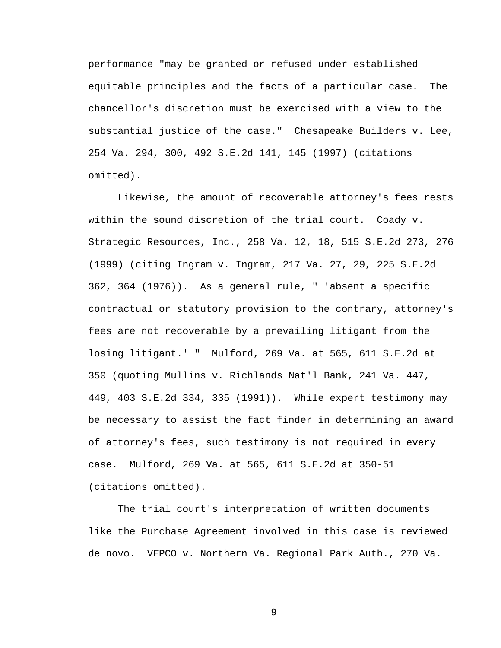performance "may be granted or refused under established equitable principles and the facts of a particular case. The chancellor's discretion must be exercised with a view to the substantial justice of the case." Chesapeake Builders v. Lee, 254 Va. 294, 300, 492 S.E.2d 141, 145 (1997) (citations omitted).

Likewise, the amount of recoverable attorney's fees rests within the sound discretion of the trial court. Coady v. Strategic Resources, Inc., 258 Va. 12, 18, 515 S.E.2d 273, 276 (1999) (citing Ingram v. Ingram, 217 Va. 27, 29, 225 S.E.2d 362, 364 (1976)). As a general rule, " 'absent a specific contractual or statutory provision to the contrary, attorney's fees are not recoverable by a prevailing litigant from the losing litigant.' " Mulford, 269 Va. at 565, 611 S.E.2d at 350 (quoting Mullins v. Richlands Nat'l Bank, 241 Va. 447, 449, 403 S.E.2d 334, 335 (1991)). While expert testimony may be necessary to assist the fact finder in determining an award of attorney's fees, such testimony is not required in every case. Mulford, 269 Va. at 565, 611 S.E.2d at 350-51 (citations omitted).

The trial court's interpretation of written documents like the Purchase Agreement involved in this case is reviewed de novo. VEPCO v. Northern Va. Regional Park Auth., 270 Va.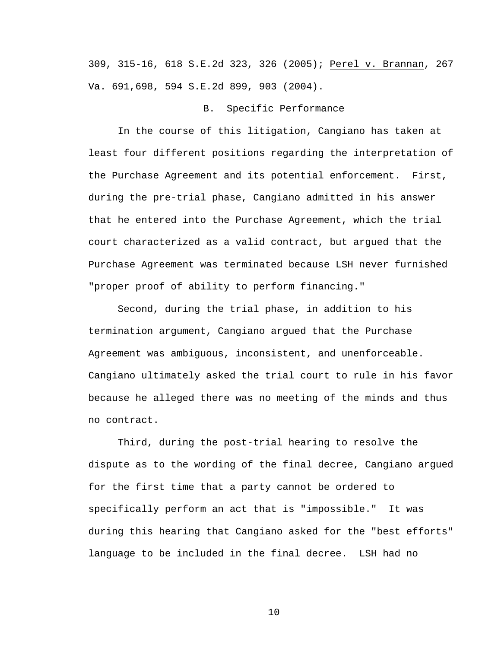309, 315-16, 618 S.E.2d 323, 326 (2005); Perel v. Brannan, 267 Va. 691,698, 594 S.E.2d 899, 903 (2004).

### B. Specific Performance

 In the course of this litigation, Cangiano has taken at least four different positions regarding the interpretation of the Purchase Agreement and its potential enforcement. First, during the pre-trial phase, Cangiano admitted in his answer that he entered into the Purchase Agreement, which the trial court characterized as a valid contract, but argued that the Purchase Agreement was terminated because LSH never furnished "proper proof of ability to perform financing."

Second, during the trial phase, in addition to his termination argument, Cangiano argued that the Purchase Agreement was ambiguous, inconsistent, and unenforceable. Cangiano ultimately asked the trial court to rule in his favor because he alleged there was no meeting of the minds and thus no contract.

Third, during the post-trial hearing to resolve the dispute as to the wording of the final decree, Cangiano argued for the first time that a party cannot be ordered to specifically perform an act that is "impossible." It was during this hearing that Cangiano asked for the "best efforts" language to be included in the final decree. LSH had no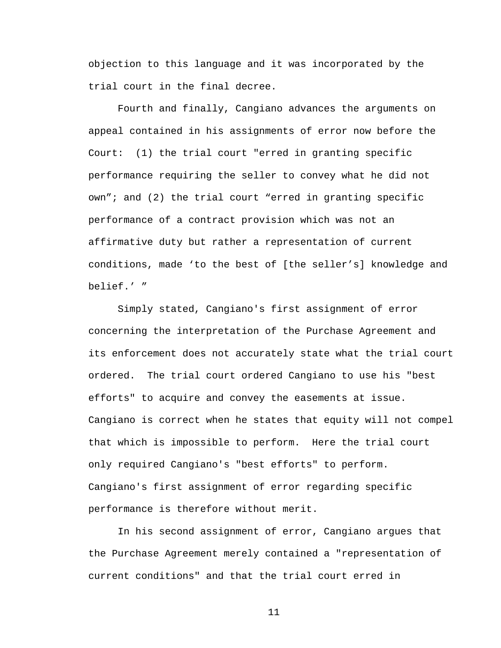objection to this language and it was incorporated by the trial court in the final decree.

Fourth and finally, Cangiano advances the arguments on appeal contained in his assignments of error now before the Court: (1) the trial court "erred in granting specific performance requiring the seller to convey what he did not own"; and (2) the trial court "erred in granting specific performance of a contract provision which was not an affirmative duty but rather a representation of current conditions, made 'to the best of [the seller's] knowledge and belief.' "

Simply stated, Cangiano's first assignment of error concerning the interpretation of the Purchase Agreement and its enforcement does not accurately state what the trial court ordered. The trial court ordered Cangiano to use his "best efforts" to acquire and convey the easements at issue. Cangiano is correct when he states that equity will not compel that which is impossible to perform. Here the trial court only required Cangiano's "best efforts" to perform. Cangiano's first assignment of error regarding specific performance is therefore without merit.

 In his second assignment of error, Cangiano argues that the Purchase Agreement merely contained a "representation of current conditions" and that the trial court erred in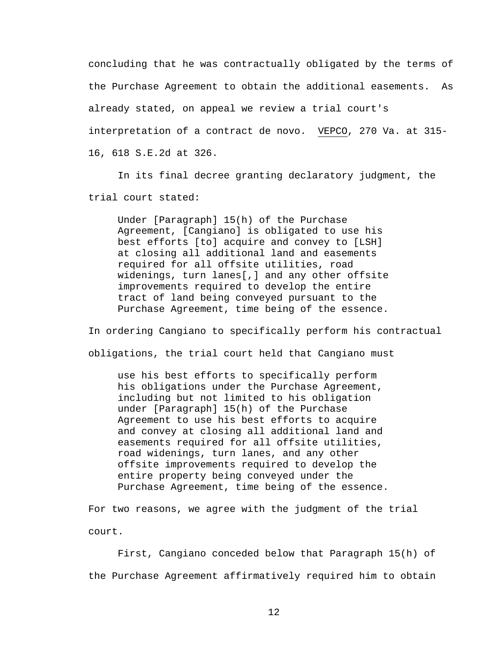concluding that he was contractually obligated by the terms of the Purchase Agreement to obtain the additional easements. As already stated, on appeal we review a trial court's interpretation of a contract de novo. VEPCO, 270 Va. at 315- 16, 618 S.E.2d at 326.

 In its final decree granting declaratory judgment, the trial court stated:

Under [Paragraph] 15(h) of the Purchase Agreement, [Cangiano] is obligated to use his best efforts [to] acquire and convey to [LSH] at closing all additional land and easements required for all offsite utilities, road widenings, turn lanes[,] and any other offsite improvements required to develop the entire tract of land being conveyed pursuant to the Purchase Agreement, time being of the essence.

In ordering Cangiano to specifically perform his contractual obligations, the trial court held that Cangiano must

use his best efforts to specifically perform his obligations under the Purchase Agreement, including but not limited to his obligation under [Paragraph] 15(h) of the Purchase Agreement to use his best efforts to acquire and convey at closing all additional land and easements required for all offsite utilities, road widenings, turn lanes, and any other offsite improvements required to develop the entire property being conveyed under the Purchase Agreement, time being of the essence.

For two reasons, we agree with the judgment of the trial court.

 First, Cangiano conceded below that Paragraph 15(h) of the Purchase Agreement affirmatively required him to obtain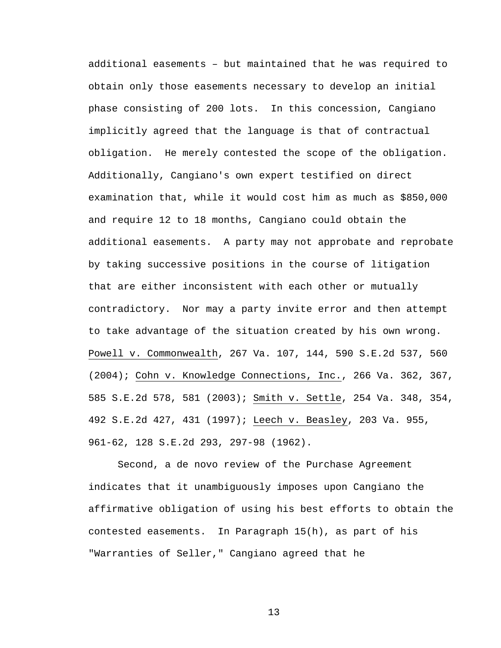additional easements – but maintained that he was required to obtain only those easements necessary to develop an initial phase consisting of 200 lots. In this concession, Cangiano implicitly agreed that the language is that of contractual obligation. He merely contested the scope of the obligation. Additionally, Cangiano's own expert testified on direct examination that, while it would cost him as much as \$850,000 and require 12 to 18 months, Cangiano could obtain the additional easements. A party may not approbate and reprobate by taking successive positions in the course of litigation that are either inconsistent with each other or mutually contradictory. Nor may a party invite error and then attempt to take advantage of the situation created by his own wrong. Powell v. Commonwealth, 267 Va. 107, 144, 590 S.E.2d 537, 560 (2004); Cohn v. Knowledge Connections, Inc., 266 Va. 362, 367, 585 S.E.2d 578, 581 (2003); Smith v. Settle, 254 Va. 348, 354, 492 S.E.2d 427, 431 (1997); Leech v. Beasley, 203 Va. 955, 961-62, 128 S.E.2d 293, 297-98 (1962).

Second, a de novo review of the Purchase Agreement indicates that it unambiguously imposes upon Cangiano the affirmative obligation of using his best efforts to obtain the contested easements. In Paragraph 15(h), as part of his "Warranties of Seller," Cangiano agreed that he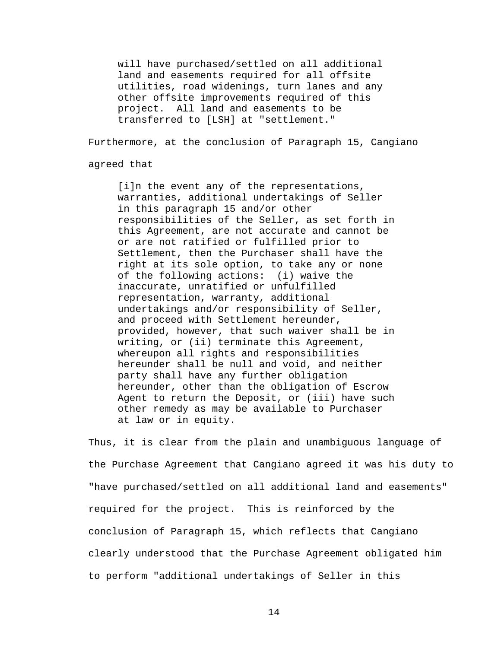will have purchased/settled on all additional land and easements required for all offsite utilities, road widenings, turn lanes and any other offsite improvements required of this project. All land and easements to be transferred to [LSH] at "settlement."

Furthermore, at the conclusion of Paragraph 15, Cangiano

agreed that

[i]n the event any of the representations, warranties, additional undertakings of Seller in this paragraph 15 and/or other responsibilities of the Seller, as set forth in this Agreement, are not accurate and cannot be or are not ratified or fulfilled prior to Settlement, then the Purchaser shall have the right at its sole option, to take any or none of the following actions: (i) waive the inaccurate, unratified or unfulfilled representation, warranty, additional undertakings and/or responsibility of Seller, and proceed with Settlement hereunder, provided, however, that such waiver shall be in writing, or (ii) terminate this Agreement, whereupon all rights and responsibilities hereunder shall be null and void, and neither party shall have any further obligation hereunder, other than the obligation of Escrow Agent to return the Deposit, or (iii) have such other remedy as may be available to Purchaser at law or in equity.

Thus, it is clear from the plain and unambiguous language of the Purchase Agreement that Cangiano agreed it was his duty to "have purchased/settled on all additional land and easements" required for the project. This is reinforced by the conclusion of Paragraph 15, which reflects that Cangiano clearly understood that the Purchase Agreement obligated him to perform "additional undertakings of Seller in this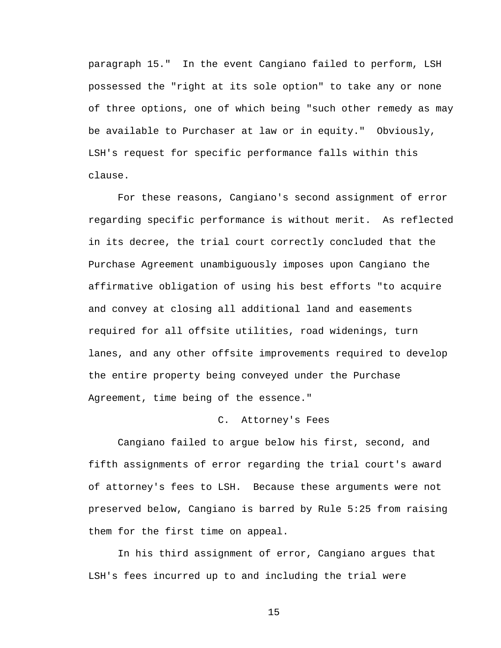paragraph 15." In the event Cangiano failed to perform, LSH possessed the "right at its sole option" to take any or none of three options, one of which being "such other remedy as may be available to Purchaser at law or in equity." Obviously, LSH's request for specific performance falls within this clause.

For these reasons, Cangiano's second assignment of error regarding specific performance is without merit. As reflected in its decree, the trial court correctly concluded that the Purchase Agreement unambiguously imposes upon Cangiano the affirmative obligation of using his best efforts "to acquire and convey at closing all additional land and easements required for all offsite utilities, road widenings, turn lanes, and any other offsite improvements required to develop the entire property being conveyed under the Purchase Agreement, time being of the essence."

### C. Attorney's Fees

 Cangiano failed to argue below his first, second, and fifth assignments of error regarding the trial court's award of attorney's fees to LSH. Because these arguments were not preserved below, Cangiano is barred by Rule 5:25 from raising them for the first time on appeal.

 In his third assignment of error, Cangiano argues that LSH's fees incurred up to and including the trial were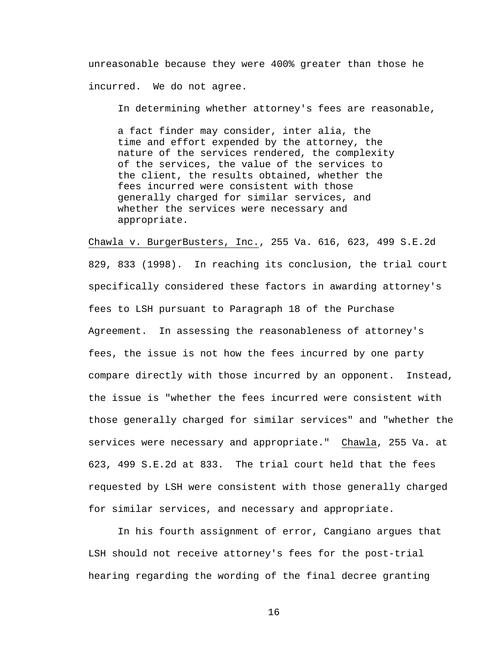unreasonable because they were 400% greater than those he incurred. We do not agree.

In determining whether attorney's fees are reasonable,

a fact finder may consider, inter alia, the time and effort expended by the attorney, the nature of the services rendered, the complexity of the services, the value of the services to the client, the results obtained, whether the fees incurred were consistent with those generally charged for similar services, and whether the services were necessary and appropriate.

Chawla v. BurgerBusters, Inc., 255 Va. 616, 623, 499 S.E.2d 829, 833 (1998). In reaching its conclusion, the trial court specifically considered these factors in awarding attorney's fees to LSH pursuant to Paragraph 18 of the Purchase Agreement. In assessing the reasonableness of attorney's fees, the issue is not how the fees incurred by one party compare directly with those incurred by an opponent. Instead, the issue is "whether the fees incurred were consistent with those generally charged for similar services" and "whether the services were necessary and appropriate." Chawla, 255 Va. at 623, 499 S.E.2d at 833. The trial court held that the fees requested by LSH were consistent with those generally charged for similar services, and necessary and appropriate.

 In his fourth assignment of error, Cangiano argues that LSH should not receive attorney's fees for the post-trial hearing regarding the wording of the final decree granting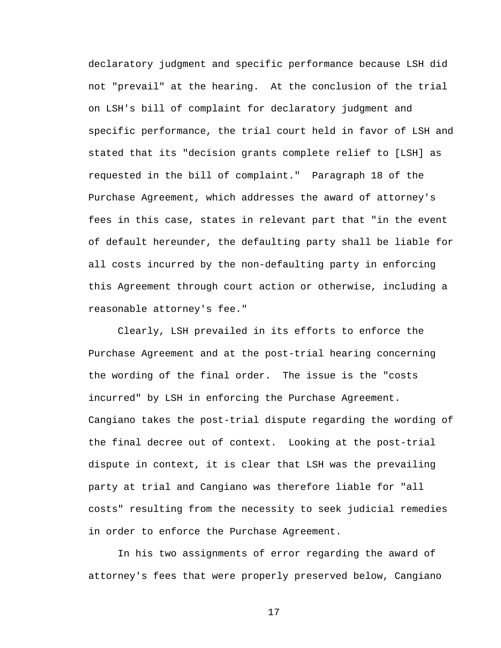declaratory judgment and specific performance because LSH did not "prevail" at the hearing. At the conclusion of the trial on LSH's bill of complaint for declaratory judgment and specific performance, the trial court held in favor of LSH and stated that its "decision grants complete relief to [LSH] as requested in the bill of complaint." Paragraph 18 of the Purchase Agreement, which addresses the award of attorney's fees in this case, states in relevant part that "in the event of default hereunder, the defaulting party shall be liable for all costs incurred by the non-defaulting party in enforcing this Agreement through court action or otherwise, including a reasonable attorney's fee."

 Clearly, LSH prevailed in its efforts to enforce the Purchase Agreement and at the post-trial hearing concerning the wording of the final order. The issue is the "costs incurred" by LSH in enforcing the Purchase Agreement. Cangiano takes the post-trial dispute regarding the wording of the final decree out of context. Looking at the post-trial dispute in context, it is clear that LSH was the prevailing party at trial and Cangiano was therefore liable for "all costs" resulting from the necessity to seek judicial remedies in order to enforce the Purchase Agreement.

In his two assignments of error regarding the award of attorney's fees that were properly preserved below, Cangiano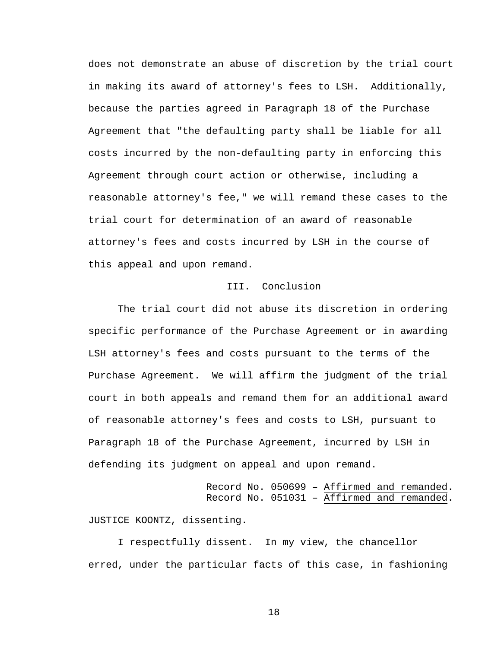does not demonstrate an abuse of discretion by the trial court in making its award of attorney's fees to LSH. Additionally, because the parties agreed in Paragraph 18 of the Purchase Agreement that "the defaulting party shall be liable for all costs incurred by the non-defaulting party in enforcing this Agreement through court action or otherwise, including a reasonable attorney's fee," we will remand these cases to the trial court for determination of an award of reasonable attorney's fees and costs incurred by LSH in the course of this appeal and upon remand.

## III. Conclusion

 The trial court did not abuse its discretion in ordering specific performance of the Purchase Agreement or in awarding LSH attorney's fees and costs pursuant to the terms of the Purchase Agreement. We will affirm the judgment of the trial court in both appeals and remand them for an additional award of reasonable attorney's fees and costs to LSH, pursuant to Paragraph 18 of the Purchase Agreement, incurred by LSH in defending its judgment on appeal and upon remand.

> Record No. 050699 – Affirmed and remanded. Record No. 051031 – Affirmed and remanded.

JUSTICE KOONTZ, dissenting.

I respectfully dissent. In my view, the chancellor erred, under the particular facts of this case, in fashioning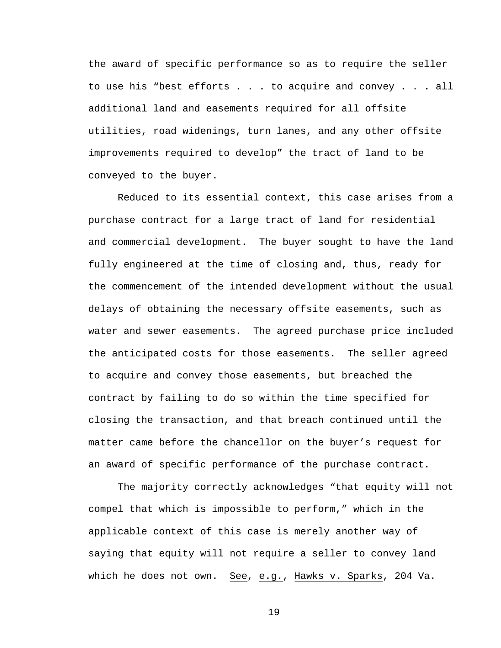the award of specific performance so as to require the seller to use his "best efforts . . . to acquire and convey . . . all additional land and easements required for all offsite utilities, road widenings, turn lanes, and any other offsite improvements required to develop" the tract of land to be conveyed to the buyer.

Reduced to its essential context, this case arises from a purchase contract for a large tract of land for residential and commercial development. The buyer sought to have the land fully engineered at the time of closing and, thus, ready for the commencement of the intended development without the usual delays of obtaining the necessary offsite easements, such as water and sewer easements. The agreed purchase price included the anticipated costs for those easements. The seller agreed to acquire and convey those easements, but breached the contract by failing to do so within the time specified for closing the transaction, and that breach continued until the matter came before the chancellor on the buyer's request for an award of specific performance of the purchase contract.

The majority correctly acknowledges "that equity will not compel that which is impossible to perform," which in the applicable context of this case is merely another way of saying that equity will not require a seller to convey land which he does not own. See, e.g., Hawks v. Sparks, 204 Va.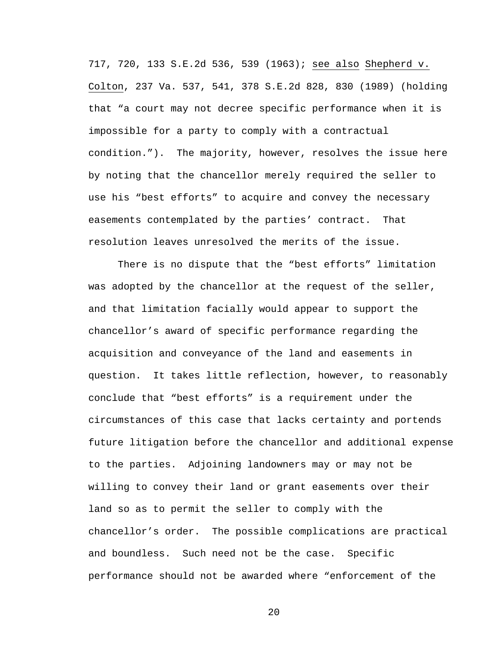717, 720, 133 S.E.2d 536, 539 (1963); see also Shepherd v. Colton, 237 Va. 537, 541, 378 S.E.2d 828, 830 (1989) (holding that "a court may not decree specific performance when it is impossible for a party to comply with a contractual condition."). The majority, however, resolves the issue here by noting that the chancellor merely required the seller to use his "best efforts" to acquire and convey the necessary easements contemplated by the parties' contract. That resolution leaves unresolved the merits of the issue.

There is no dispute that the "best efforts" limitation was adopted by the chancellor at the request of the seller, and that limitation facially would appear to support the chancellor's award of specific performance regarding the acquisition and conveyance of the land and easements in question. It takes little reflection, however, to reasonably conclude that "best efforts" is a requirement under the circumstances of this case that lacks certainty and portends future litigation before the chancellor and additional expense to the parties. Adjoining landowners may or may not be willing to convey their land or grant easements over their land so as to permit the seller to comply with the chancellor's order. The possible complications are practical and boundless. Such need not be the case. Specific performance should not be awarded where "enforcement of the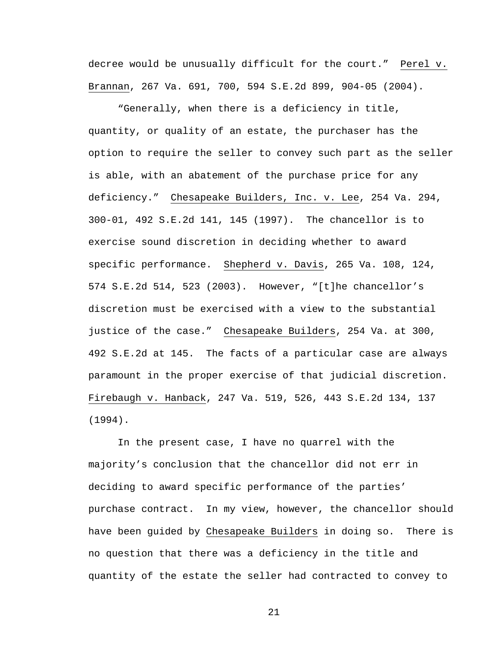decree would be unusually difficult for the court." Perel v. Brannan, 267 Va. 691, 700, 594 S.E.2d 899, 904-05 (2004).

"Generally, when there is a deficiency in title, quantity, or quality of an estate, the purchaser has the option to require the seller to convey such part as the seller is able, with an abatement of the purchase price for any deficiency." Chesapeake Builders, Inc. v. Lee, 254 Va. 294, 300-01, 492 S.E.2d 141, 145 (1997). The chancellor is to exercise sound discretion in deciding whether to award specific performance. Shepherd v. Davis, 265 Va. 108, 124, 574 S.E.2d 514, 523 (2003). However, "[t]he chancellor's discretion must be exercised with a view to the substantial justice of the case." Chesapeake Builders, 254 Va. at 300, 492 S.E.2d at 145. The facts of a particular case are always paramount in the proper exercise of that judicial discretion. Firebaugh v. Hanback, 247 Va. 519, 526, 443 S.E.2d 134, 137 (1994).

In the present case, I have no quarrel with the majority's conclusion that the chancellor did not err in deciding to award specific performance of the parties' purchase contract. In my view, however, the chancellor should have been guided by Chesapeake Builders in doing so. There is no question that there was a deficiency in the title and quantity of the estate the seller had contracted to convey to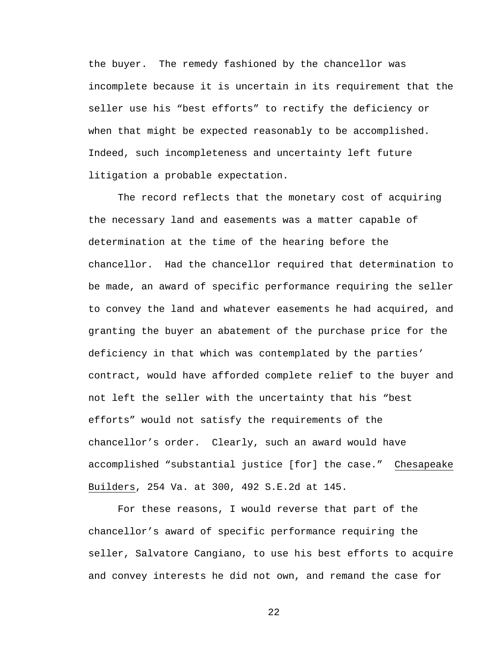the buyer. The remedy fashioned by the chancellor was incomplete because it is uncertain in its requirement that the seller use his "best efforts" to rectify the deficiency or when that might be expected reasonably to be accomplished. Indeed, such incompleteness and uncertainty left future litigation a probable expectation.

The record reflects that the monetary cost of acquiring the necessary land and easements was a matter capable of determination at the time of the hearing before the chancellor. Had the chancellor required that determination to be made, an award of specific performance requiring the seller to convey the land and whatever easements he had acquired, and granting the buyer an abatement of the purchase price for the deficiency in that which was contemplated by the parties' contract, would have afforded complete relief to the buyer and not left the seller with the uncertainty that his "best efforts" would not satisfy the requirements of the chancellor's order. Clearly, such an award would have accomplished "substantial justice [for] the case." Chesapeake Builders, 254 Va. at 300, 492 S.E.2d at 145.

For these reasons, I would reverse that part of the chancellor's award of specific performance requiring the seller, Salvatore Cangiano, to use his best efforts to acquire and convey interests he did not own, and remand the case for